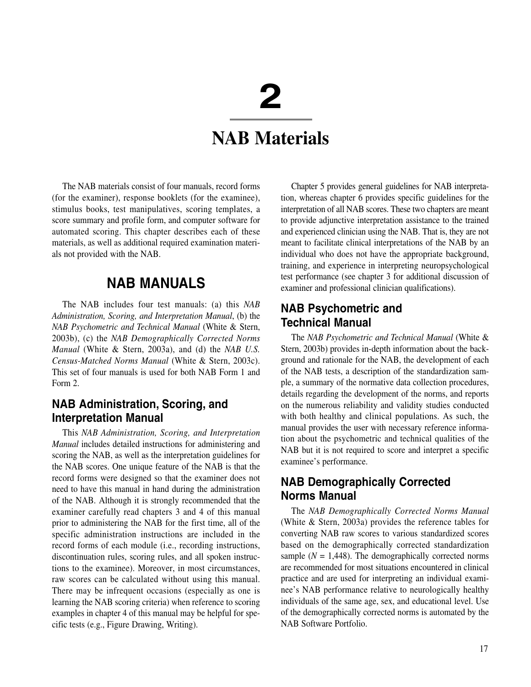# **2**

# *NAB Materials*

*The NAB materials consist of four manuals, record forms (for the examiner), response booklets (for the examinee), stimulus books, test manipulatives, scoring templates, a score summary and profile form, and computer software for automated scoring. This chapter describes each of these materials, as well as additional required examination materials not provided with the NAB.*

# **NAB MANUALS**

*The NAB includes four test manuals: (a) this NAB Administration, Scoring, and Interpretation Manual, (b) the NAB Psychometric and Technical Manual (White & Stern, 2003b), (c) the NAB Demographically Corrected Norms Manual (White & Stern, 2003a), and (d) the NAB U.S. Census-Matched Norms Manual (White & Stern, 2003c). This set of four manuals is used for both NAB Form 1 and Form 2.* 

#### **NAB Administration, Scoring, and Interpretation Manual**

*This NAB Administration, Scoring, and Interpretation Manual includes detailed instructions for administering and scoring the NAB, as well as the interpretation guidelines for the NAB scores. One unique feature of the NAB is that the record forms were designed so that the examiner does not need to have this manual in hand during the administration of the NAB. Although it is strongly recommended that the examiner carefully read chapters 3 and 4 of this manual prior to administering the NAB for the first time, all of the specific administration instructions are included in the record forms of each module (i.e., recording instructions, discontinuation rules, scoring rules, and all spoken instructions to the examinee). Moreover, in most circumstances, raw scores can be calculated without using this manual. There may be infrequent occasions (especially as one is learning the NAB scoring criteria) when reference to scoring examples in chapter 4 of this manual may be helpful for specific tests (e.g., Figure Drawing, Writing).*

*Chapter 5 provides general guidelines for NAB interpretation, whereas chapter 6 provides specific guidelines for the interpretation of all NAB scores. These two chapters are meant to provide adjunctive interpretation assistance to the trained and experienced clinician using the NAB. That is, they are not meant to facilitate clinical interpretations of the NAB by an individual who does not have the appropriate background, training, and experience in interpreting neuropsychological test performance (see chapter 3 for additional discussion of examiner and professional clinician qualifications).*

#### **NAB Psychometric and Technical Manual**

*The NAB Psychometric and Technical Manual (White & Stern, 2003b) provides in-depth information about the background and rationale for the NAB, the development of each of the NAB tests, a description of the standardization sample, a summary of the normative data collection procedures, details regarding the development of the norms, and reports on the numerous reliability and validity studies conducted with both healthy and clinical populations. As such, the manual provides the user with necessary reference information about the psychometric and technical qualities of the NAB but it is not required to score and interpret a specific examinee's performance.*

## **NAB Demographically Corrected Norms Manual**

*The NAB Demographically Corrected Norms Manual (White & Stern, 2003a) provides the reference tables for converting NAB raw scores to various standardized scores based on the demographically corrected standardization* sample  $(N = 1,448)$ . The demographically corrected norms *are recommended for most situations encountered in clinical practice and are used for interpreting an individual examinee's NAB performance relative to neurologically healthy individuals of the same age, sex, and educational level. Use of the demographically corrected norms is automated by the NAB Software Portfolio.*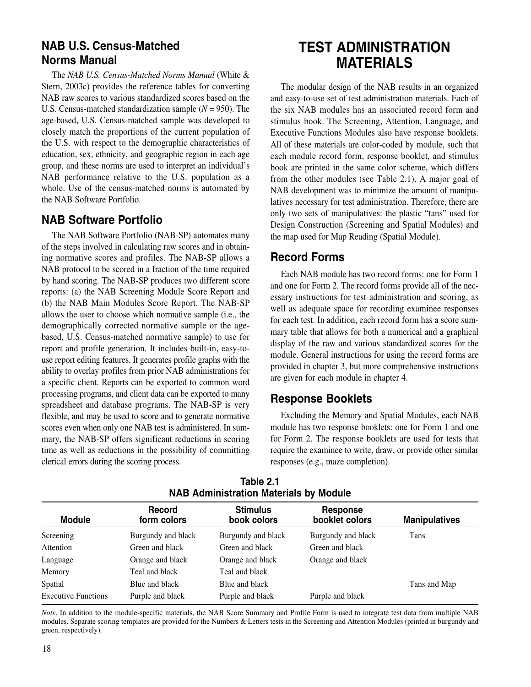#### **NAB U.S. Census-Matched Norms Manual**

*The NAB U.S. Census-Matched Norms Manual (White & Stern, 2003c) provides the reference tables for converting NAB raw scores to various standardized scores based on the U.S. Census-matched standardization sample (N = 950). The age-based, U.S. Census-matched sample was developed to closely match the proportions of the current population of the U.S. with respect to the demographic characteristics of education, sex, ethnicity, and geographic region in each age group, and these norms are used to interpret an individual's NAB performance relative to the U.S. population as a whole. Use of the census-matched norms is automated by the NAB Software Portfolio.*

## **NAB Software Portfolio**

*The NAB Software Portfolio (NAB-SP) automates many of the steps involved in calculating raw scores and in obtaining normative scores and profiles. The NAB-SP allows a NAB protocol to be scored in a fraction of the time required by hand scoring. The NAB-SP produces two different score reports: (a) the NAB Screening Module Score Report and (b) the NAB Main Modules Score Report. The NAB-SP allows the user to choose which normative sample (i.e., the demographically corrected normative sample or the agebased, U.S. Census-matched normative sample) to use for report and profile generation. It includes built-in, easy-touse report editing features. It generates profile graphs with the ability to overlay profiles from prior NAB administrations for a specific client. Reports can be exported to common word processing programs, and client data can be exported to many spreadsheet and database programs. The NAB-SP is very flexible, and may be used to score and to generate normative scores even when only one NAB test is administered. In summary, the NAB-SP offers significant reductions in scoring time as well as reductions in the possibility of committing clerical errors during the scoring process.*

# **TEST ADMINISTRATION MATERIALS**

*The modular design of the NAB results in an organized and easy-to-use set of test administration materials. Each of the six NAB modules has an associated record form and stimulus book. The Screening, Attention, Language, and Executive Functions Modules also have response booklets. All of these materials are color-coded by module, such that each module record form, response booklet, and stimulus book are printed in the same color scheme, which differs from the other modules (see Table 2.1). A major goal of NAB development was to minimize the amount of manipulatives necessary for test administration. Therefore, there are only two sets of manipulatives: the plastic "tans" used for Design Construction (Screening and Spatial Modules) and the map used for Map Reading (Spatial Module).*

## **Record Forms**

*Each NAB module has two record forms: one for Form 1 and one for Form 2. The record forms provide all of the necessary instructions for test administration and scoring, as well as adequate space for recording examinee responses for each test. In addition, each record form has a score summary table that allows for both a numerical and a graphical display of the raw and various standardized scores for the module. General instructions for using the record forms are provided in chapter 3, but more comprehensive instructions are given for each module in chapter 4.* 

#### **Response Booklets**

*Excluding the Memory and Spatial Modules, each NAB module has two response booklets: one for Form 1 and one for Form 2. The response booklets are used for tests that require the examinee to write, draw, or provide other similar responses (e.g., maze completion).* 

| <b>Module</b>              | Record<br>form colors | <b>Stimulus</b><br>book colors | <b>Response</b><br>booklet colors | <b>Manipulatives</b> |
|----------------------------|-----------------------|--------------------------------|-----------------------------------|----------------------|
| Screening                  | Burgundy and black    | Burgundy and black             | Burgundy and black                | Tans                 |
| Attention                  | Green and black       | Green and black                | Green and black                   |                      |
| Language                   | Orange and black      | Orange and black               | Orange and black                  |                      |
| Memory                     | Teal and black        | Teal and black                 |                                   |                      |
| Spatial                    | Blue and black        | Blue and black                 |                                   | Tans and Map         |
| <b>Executive Functions</b> | Purple and black      | Purple and black               | Purple and black                  |                      |

**Table 2.1 NAB Administration Materials by Module**

*Note. In addition to the module-specific materials, the NAB Score Summary and Profile Form is used to integrate test data from multiple NAB modules. Separate scoring templates are provided for the Numbers & Letters tests in the Screening and Attention Modules (printed in burgundy and green, respectively).*